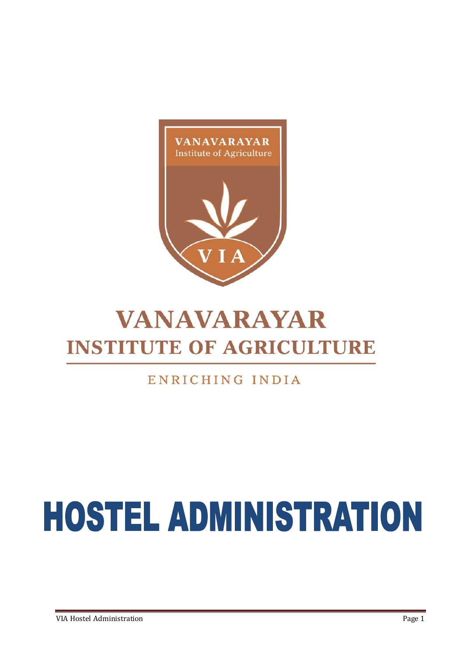

# **VANAVARAYAR INSTITUTE OF AGRICULTURE**

# ENRICHING INDIA

# **HOSTEL ADMINISTRATION**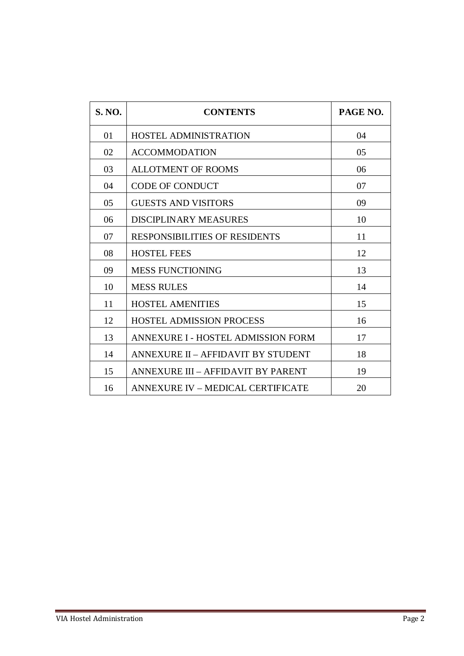| <b>S. NO.</b>  | <b>CONTENTS</b>                          | PAGE NO. |
|----------------|------------------------------------------|----------|
| 01             | <b>HOSTEL ADMINISTRATION</b>             | 04       |
| 02             | <b>ACCOMMODATION</b>                     | 05       |
| 03             | <b>ALLOTMENT OF ROOMS</b>                | 06       |
| 04             | <b>CODE OF CONDUCT</b>                   | 07       |
| 0 <sub>5</sub> | <b>GUESTS AND VISITORS</b>               | 09       |
| 06             | DISCIPLINARY MEASURES                    | 10       |
| 07             | <b>RESPONSIBILITIES OF RESIDENTS</b>     | 11       |
| 08             | <b>HOSTEL FEES</b>                       | 12       |
| 09             | <b>MESS FUNCTIONING</b>                  | 13       |
| 10             | <b>MESS RULES</b>                        | 14       |
| 11             | <b>HOSTEL AMENITIES</b>                  | 15       |
| 12             | <b>HOSTEL ADMISSION PROCESS</b>          | 16       |
| 13             | ANNEXURE I - HOSTEL ADMISSION FORM       | 17       |
| 14             | ANNEXURE II – AFFIDAVIT BY STUDENT       | 18       |
| 15             | ANNEXURE III – AFFIDAVIT BY PARENT       | 19       |
| 16             | <b>ANNEXURE IV - MEDICAL CERTIFICATE</b> | 20       |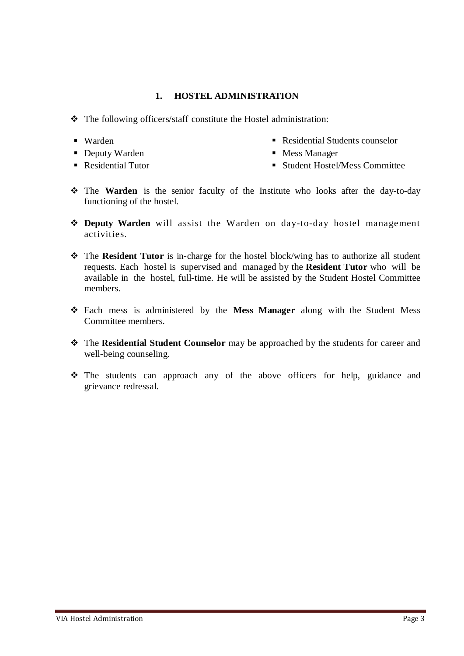#### **1. HOSTEL ADMINISTRATION**

- The following officers/staff constitute the Hostel administration:
- Warden
- **Deputy Warden**
- Residential Students counselor
- Mess Manager

■ Residential Tutor

- Student Hostel/Mess Committee
- \* The Warden is the senior faculty of the Institute who looks after the day-to-day functioning of the hostel.
- **Deputy Warden** will assist the Warden on day-to-day hostel management activities.
- \* The **Resident Tutor** is in-charge for the hostel block/wing has to authorize all student requests. Each hostel is supervised and managed by the **Resident Tutor** who will be available in the hostel, full-time. He will be assisted by the Student Hostel Committee members.
- Each mess is administered by the **Mess Manager** along with the Student Mess Committee members.
- The **Residential Student Counselor** may be approached by the students for career and well-being counseling.
- The students can approach any of the above officers for help, guidance and grievance redressal.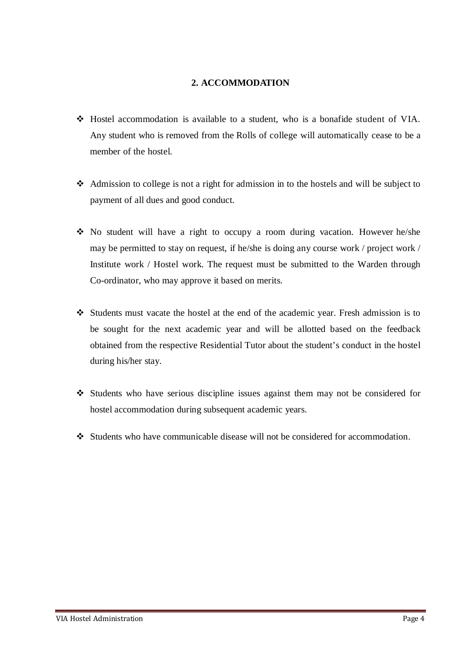#### **2. ACCOMMODATION**

- Hostel accommodation is available to a student, who is a bonafide student of VIA. Any student who is removed from the Rolls of college will automatically cease to be a member of the hostel.
- Admission to college is not a right for admission in to the hostels and will be subject to payment of all dues and good conduct.
- No student will have a right to occupy a room during vacation. However he/she may be permitted to stay on request, if he/she is doing any course work / project work / Institute work / Hostel work. The request must be submitted to the Warden through Co-ordinator, who may approve it based on merits.
- Students must vacate the hostel at the end of the academic year. Fresh admission is to be sought for the next academic year and will be allotted based on the feedback obtained from the respective Residential Tutor about the student's conduct in the hostel during his/her stay.
- Students who have serious discipline issues against them may not be considered for hostel accommodation during subsequent academic years.
- Students who have communicable disease will not be considered for accommodation.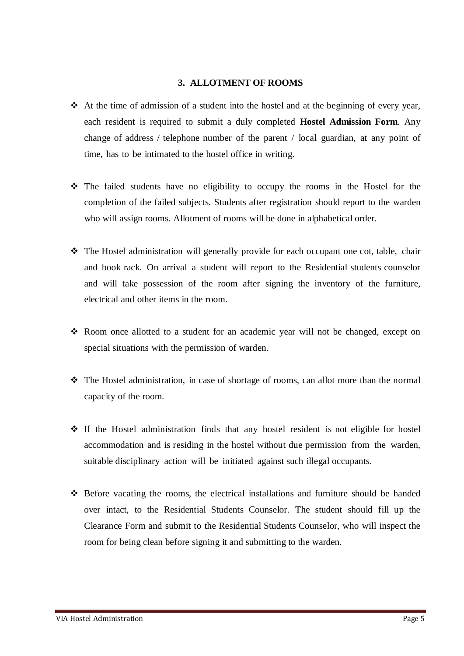#### **3. ALLOTMENT OF ROOMS**

- $\triangleleft$ . At the time of admission of a student into the hostel and at the beginning of every year, each resident is required to submit a duly completed **Hostel Admission Form**. Any change of address / telephone number of the parent / local guardian, at any point of time, has to be intimated to the hostel office in writing.
- The failed students have no eligibility to occupy the rooms in the Hostel for the completion of the failed subjects. Students after registration should report to the warden who will assign rooms. Allotment of rooms will be done in alphabetical order.
- The Hostel administration will generally provide for each occupant one cot, table, chair and book rack. On arrival a student will report to the Residential students counselor and will take possession of the room after signing the inventory of the furniture, electrical and other items in the room.
- \* Room once allotted to a student for an academic year will not be changed, except on special situations with the permission of warden.
- The Hostel administration, in case of shortage of rooms, can allot more than the normal capacity of the room.
- $\div$  If the Hostel administration finds that any hostel resident is not eligible for hostel accommodation and is residing in the hostel without due permission from the warden, suitable disciplinary action will be initiated against such illegal occupants.
- $\div$  Before vacating the rooms, the electrical installations and furniture should be handed over intact, to the Residential Students Counselor. The student should fill up the Clearance Form and submit to the Residential Students Counselor, who will inspect the room for being clean before signing it and submitting to the warden.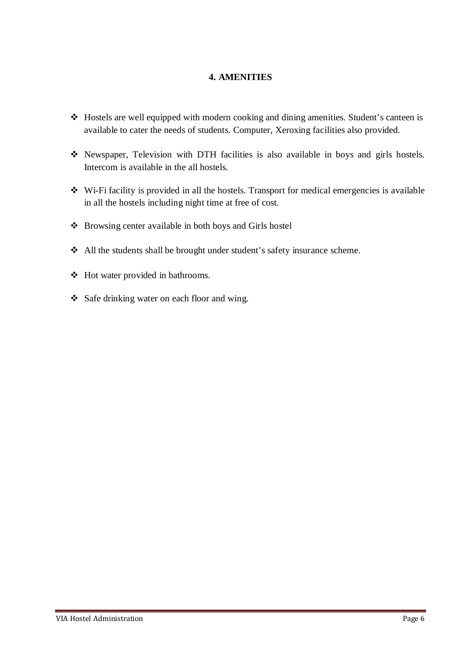#### **4. AMENITIES**

- Hostels are well equipped with modern cooking and dining amenities. Student's canteen is available to cater the needs of students. Computer, Xeroxing facilities also provided.
- Newspaper, Television with DTH facilities is also available in boys and girls hostels. Intercom is available in the all hostels.
- Wi-Fi facility is provided in all the hostels. Transport for medical emergencies is available in all the hostels including night time at free of cost.
- Browsing center available in both boys and Girls hostel
- All the students shall be brought under student's safety insurance scheme.
- Hot water provided in bathrooms.
- Safe drinking water on each floor and wing.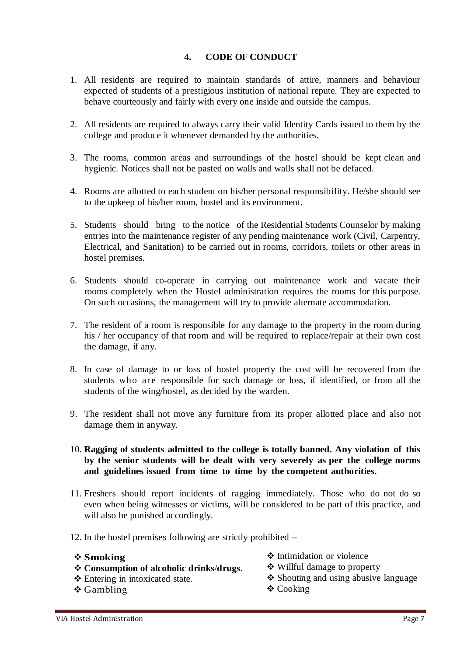#### **4. CODE OF CONDUCT**

- 1. All residents are required to maintain standards of attire, manners and behaviour expected of students of a prestigious institution of national repute. They are expected to behave courteously and fairly with every one inside and outside the campus.
- 2. All residents are required to always carry their valid Identity Cards issued to them by the college and produce it whenever demanded by the authorities.
- 3. The rooms, common areas and surroundings of the hostel should be kept clean and hygienic. Notices shall not be pasted on walls and walls shall not be defaced.
- 4. Rooms are allotted to each student on his/her personal responsibility. He/she should see to the upkeep of his/her room, hostel and its environment.
- 5. Students should bring to the notice of the Residential Students Counselor by making entries into the maintenance register of any pending maintenance work (Civil, Carpentry, Electrical, and Sanitation) to be carried out in rooms, corridors, toilets or other areas in hostel premises.
- 6. Students should co-operate in carrying out maintenance work and vacate their rooms completely when the Hostel administration requires the rooms for this purpose. On such occasions, the management will try to provide alternate accommodation.
- 7. The resident of a room is responsible for any damage to the property in the room during his / her occupancy of that room and will be required to replace/repair at their own cost the damage, if any.
- 8. In case of damage to or loss of hostel property the cost will be recovered from the students who are responsible for such damage or loss, if identified, or from all the students of the wing/hostel, as decided by the warden.
- 9. The resident shall not move any furniture from its proper allotted place and also not damage them in anyway.
- 10. **Ragging of students admitted to the college is totally banned. Any violation of this by the senior students will be dealt with very severely as per the college norms and guidelines issued from time to time by the competent authorities.**
- 11. Freshers should report incidents of ragging immediately. Those who do not do so even when being witnesses or victims, will be considered to be part of this practice, and will also be punished accordingly.
- 12. In the hostel premises following are strictly prohibited –

#### **Smoking**

- 
- **Consumption of alcoholic drinks**/**drugs**.
- Entering in intoxicated state.
- Gambling
- Intimidation or violence
- Willful damage to property
- ❖ Shouting and using abusive language
- Cooking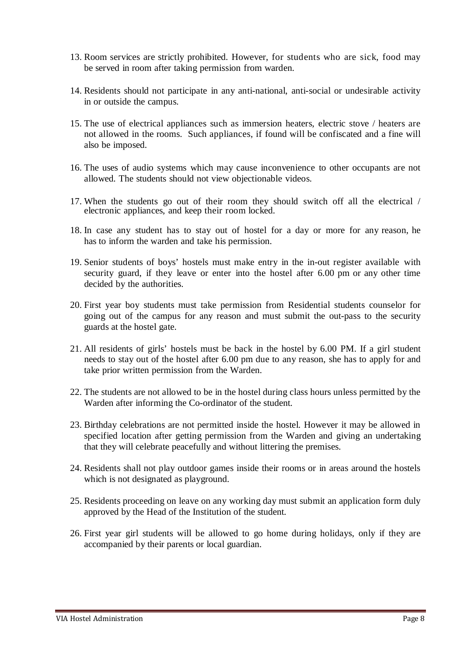- 13. Room services are strictly prohibited. However, for students who are sick, food may be served in room after taking permission from warden.
- 14. Residents should not participate in any anti-national, anti-social or undesirable activity in or outside the campus.
- 15. The use of electrical appliances such as immersion heaters, electric stove / heaters are not allowed in the rooms. Such appliances, if found will be confiscated and a fine will also be imposed.
- 16. The uses of audio systems which may cause inconvenience to other occupants are not allowed. The students should not view objectionable videos.
- 17. When the students go out of their room they should switch off all the electrical / electronic appliances, and keep their room locked.
- 18. In case any student has to stay out of hostel for a day or more for any reason, he has to inform the warden and take his permission.
- 19. Senior students of boys' hostels must make entry in the in-out register available with security guard, if they leave or enter into the hostel after 6.00 pm or any other time decided by the authorities.
- 20. First year boy students must take permission from Residential students counselor for going out of the campus for any reason and must submit the out-pass to the security guards at the hostel gate.
- 21. All residents of girls' hostels must be back in the hostel by 6.00 PM. If a girl student needs to stay out of the hostel after 6.00 pm due to any reason, she has to apply for and take prior written permission from the Warden.
- 22. The students are not allowed to be in the hostel during class hours unless permitted by the Warden after informing the Co-ordinator of the student.
- 23. Birthday celebrations are not permitted inside the hostel. However it may be allowed in specified location after getting permission from the Warden and giving an undertaking that they will celebrate peacefully and without littering the premises.
- 24. Residents shall not play outdoor games inside their rooms or in areas around the hostels which is not designated as playground.
- 25. Residents proceeding on leave on any working day must submit an application form duly approved by the Head of the Institution of the student.
- 26. First year girl students will be allowed to go home during holidays, only if they are accompanied by their parents or local guardian.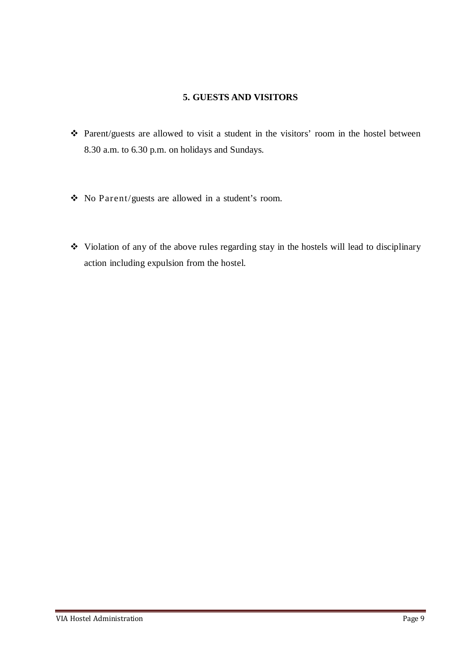#### **5. GUESTS AND VISITORS**

- Parent/guests are allowed to visit a student in the visitors' room in the hostel between 8.30 a.m. to 6.30 p.m. on holidays and Sundays.
- No Parent/guests are allowed in a student's room.
- Violation of any of the above rules regarding stay in the hostels will lead to disciplinary action including expulsion from the hostel.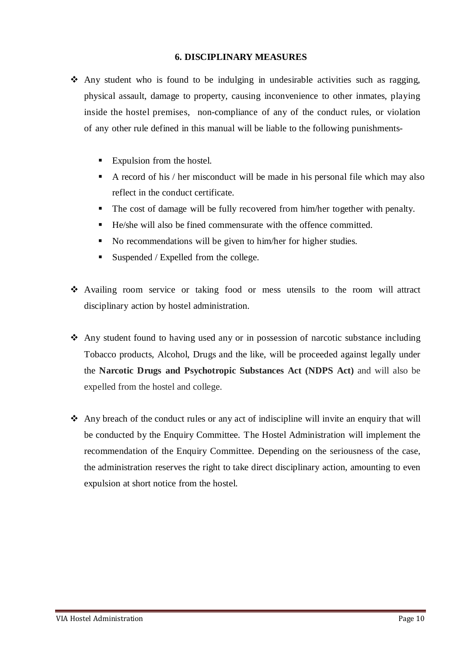#### **6. DISCIPLINARY MEASURES**

- $\triangle$  Any student who is found to be indulging in undesirable activities such as ragging, physical assault, damage to property, causing inconvenience to other inmates, playing inside the hostel premises, non-compliance of any of the conduct rules, or violation of any other rule defined in this manual will be liable to the following punishments-
	- Expulsion from the hostel.
	- A record of his / her misconduct will be made in his personal file which may also reflect in the conduct certificate.
	- The cost of damage will be fully recovered from him/her together with penalty.
	- He/she will also be fined commensurate with the offence committed.
	- No recommendations will be given to him/her for higher studies.
	- Suspended / Expelled from the college.
- Availing room service or taking food or mess utensils to the room will attract disciplinary action by hostel administration.
- $\triangle$  Any student found to having used any or in possession of narcotic substance including Tobacco products, Alcohol, Drugs and the like, will be proceeded against legally under the **Narcotic Drugs and Psychotropic Substances Act (NDPS Act)** and will also be expelled from the hostel and college.
- Any breach of the conduct rules or any act of indiscipline will invite an enquiry that will be conducted by the Enquiry Committee. The Hostel Administration will implement the recommendation of the Enquiry Committee. Depending on the seriousness of the case, the administration reserves the right to take direct disciplinary action, amounting to even expulsion at short notice from the hostel.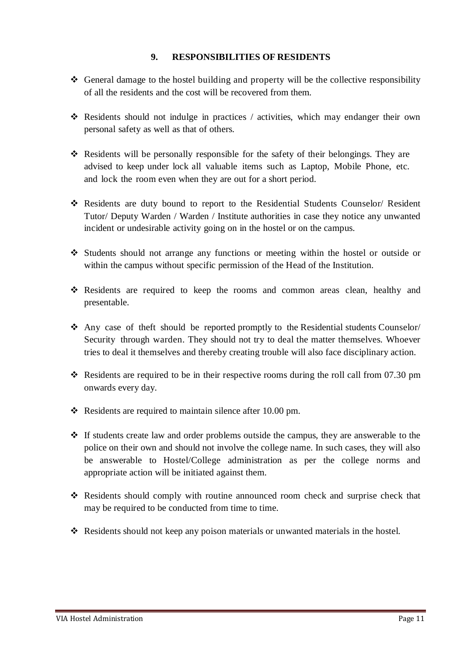#### **9. RESPONSIBILITIES OF RESIDENTS**

- $\triangleleft$  General damage to the hostel building and property will be the collective responsibility of all the residents and the cost will be recovered from them.
- Residents should not indulge in practices / activities, which may endanger their own personal safety as well as that of others.
- Residents will be personally responsible for the safety of their belongings. They are advised to keep under lock all valuable items such as Laptop, Mobile Phone, etc. and lock the room even when they are out for a short period.
- Residents are duty bound to report to the Residential Students Counselor/ Resident Tutor/ Deputy Warden / Warden / Institute authorities in case they notice any unwanted incident or undesirable activity going on in the hostel or on the campus.
- Students should not arrange any functions or meeting within the hostel or outside or within the campus without specific permission of the Head of the Institution.
- \* Residents are required to keep the rooms and common areas clean, healthy and presentable.
- Any case of theft should be reported promptly to the Residential students Counselor/ Security through warden. They should not try to deal the matter themselves. Whoever tries to deal it themselves and thereby creating trouble will also face disciplinary action.
- $\cdot$  Residents are required to be in their respective rooms during the roll call from 07.30 pm onwards every day.
- \* Residents are required to maintain silence after 10.00 pm.
- $\div$  If students create law and order problems outside the campus, they are answerable to the police on their own and should not involve the college name. In such cases, they will also be answerable to Hostel/College administration as per the college norms and appropriate action will be initiated against them.
- Residents should comply with routine announced room check and surprise check that may be required to be conducted from time to time.
- $\div$  Residents should not keep any poison materials or unwanted materials in the hostel.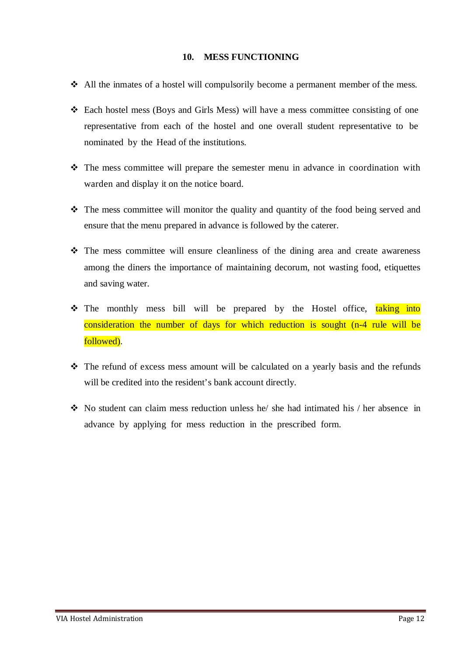#### **10. MESS FUNCTIONING**

- All the inmates of a hostel will compulsorily become a permanent member of the mess.
- Each hostel mess (Boys and Girls Mess) will have a mess committee consisting of one representative from each of the hostel and one overall student representative to be nominated by the Head of the institutions.
- $\hat{\mathbf{v}}$  The mess committee will prepare the semester menu in advance in coordination with warden and display it on the notice board.
- The mess committee will monitor the quality and quantity of the food being served and ensure that the menu prepared in advance is followed by the caterer.
- The mess committee will ensure cleanliness of the dining area and create awareness among the diners the importance of maintaining decorum, not wasting food, etiquettes and saving water.
- The monthly mess bill will be prepared by the Hostel office, taking into consideration the number of days for which reduction is sought (n-4 rule will be followed).
- The refund of excess mess amount will be calculated on a yearly basis and the refunds will be credited into the resident's bank account directly.
- No student can claim mess reduction unless he/ she had intimated his / her absence in advance by applying for mess reduction in the prescribed form.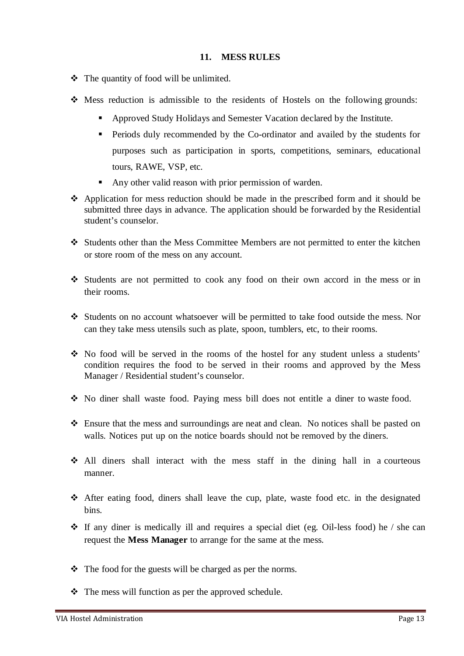#### **11. MESS RULES**

- The quantity of food will be unlimited.
- $\div$  Mess reduction is admissible to the residents of Hostels on the following grounds:
	- Approved Study Holidays and Semester Vacation declared by the Institute.
	- Periods duly recommended by the Co-ordinator and availed by the students for purposes such as participation in sports, competitions, seminars, educational tours, RAWE, VSP, etc.
	- Any other valid reason with prior permission of warden.
- Application for mess reduction should be made in the prescribed form and it should be submitted three days in advance. The application should be forwarded by the Residential student's counselor.
- Students other than the Mess Committee Members are not permitted to enter the kitchen or store room of the mess on any account.
- Students are not permitted to cook any food on their own accord in the mess or in their rooms.
- Students on no account whatsoever will be permitted to take food outside the mess. Nor can they take mess utensils such as plate, spoon, tumblers, etc, to their rooms.
- No food will be served in the rooms of the hostel for any student unless a students' condition requires the food to be served in their rooms and approved by the Mess Manager / Residential student's counselor.
- No diner shall waste food. Paying mess bill does not entitle a diner to waste food.
- Ensure that the mess and surroundings are neat and clean. No notices shall be pasted on walls. Notices put up on the notice boards should not be removed by the diners.
- All diners shall interact with the mess staff in the dining hall in a courteous manner.
- After eating food, diners shall leave the cup, plate, waste food etc. in the designated bins.
- $\cdot \cdot$  If any diner is medically ill and requires a special diet (eg. Oil-less food) he / she can request the **Mess Manager** to arrange for the same at the mess.
- The food for the guests will be charged as per the norms.
- $\triangle$  The mess will function as per the approved schedule.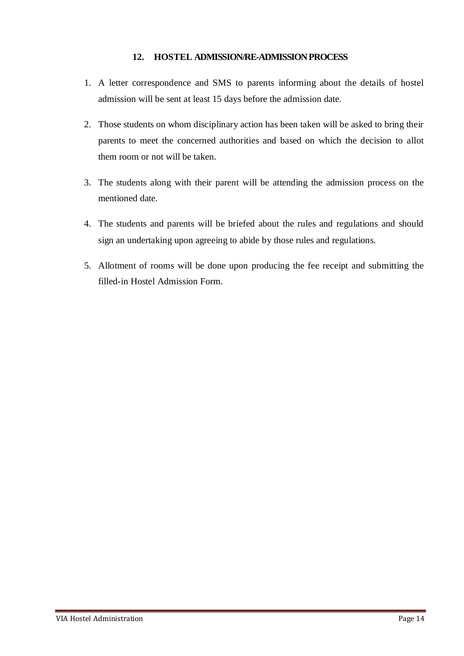#### **12. HOSTEL ADMISSION/RE-ADMISSION PROCESS**

- 1. A letter correspondence and SMS to parents informing about the details of hostel admission will be sent at least 15 days before the admission date.
- 2. Those students on whom disciplinary action has been taken will be asked to bring their parents to meet the concerned authorities and based on which the decision to allot them room or not will be taken.
- 3. The students along with their parent will be attending the admission process on the mentioned date.
- 4. The students and parents will be briefed about the rules and regulations and should sign an undertaking upon agreeing to abide by those rules and regulations.
- 5. Allotment of rooms will be done upon producing the fee receipt and submitting the filled-in Hostel Admission Form.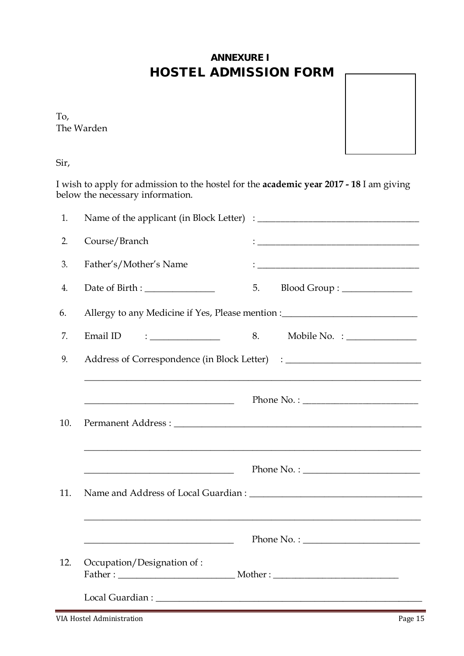## **ANNEXURE I** HOSTEL ADMISSION FORM

The Warden



Sir,

I wish to apply for admission to the hostel for the **academic year 2017 - 18** I am giving below the necessary information.

| 1.  |                                                                                                                                                                                                                                                                                                       |                                                                                                                                                                  |
|-----|-------------------------------------------------------------------------------------------------------------------------------------------------------------------------------------------------------------------------------------------------------------------------------------------------------|------------------------------------------------------------------------------------------------------------------------------------------------------------------|
| 2.  | Course/Branch                                                                                                                                                                                                                                                                                         |                                                                                                                                                                  |
| 3.  | Father's/Mother's Name                                                                                                                                                                                                                                                                                |                                                                                                                                                                  |
| 4.  |                                                                                                                                                                                                                                                                                                       | 5.<br>Blood Group : _______________                                                                                                                              |
| 6.  |                                                                                                                                                                                                                                                                                                       | Allergy to any Medicine if Yes, Please mention :_________________________________                                                                                |
| 7.  | $\frac{1}{2}$ . The contract of $\frac{1}{2}$ and $\frac{1}{2}$ and $\frac{1}{2}$ and $\frac{1}{2}$ and $\frac{1}{2}$ and $\frac{1}{2}$ and $\frac{1}{2}$ and $\frac{1}{2}$ and $\frac{1}{2}$ and $\frac{1}{2}$ and $\frac{1}{2}$ and $\frac{1}{2}$ and $\frac{1}{2}$ and $\frac{1}{2}$ a<br>Email ID | 8.<br>Mobile No. $\frac{1}{2}$ $\frac{1}{2}$                                                                                                                     |
| 9.  |                                                                                                                                                                                                                                                                                                       |                                                                                                                                                                  |
| 10. |                                                                                                                                                                                                                                                                                                       | ,我们也不能在这里的时候,我们也不能在这里的时候,我们也不能会在这里的时候,我们也不能会在这里的时候,我们也不能会在这里的时候,我们也不能会在这里的时候,我们也不                                                                                |
|     |                                                                                                                                                                                                                                                                                                       | Phone No. : $\qquad \qquad$                                                                                                                                      |
| 11. |                                                                                                                                                                                                                                                                                                       |                                                                                                                                                                  |
|     |                                                                                                                                                                                                                                                                                                       | <u> 1989 - Andrea Santana, amerikana amerikana amerikana amerikana amerikana amerikana amerikana amerikana amerika</u><br>$\boxed{\text{Phone No.}: \_\_\_\_\_}$ |
| 12. | Occupation/Designation of :                                                                                                                                                                                                                                                                           |                                                                                                                                                                  |
|     | Local Guardian : North Contract of the Contract of the Contract of the Contract of the Contract of the Contract of the Contract of the Contract of the Contract of the Contract of the Contract of the Contract of the Contrac                                                                        |                                                                                                                                                                  |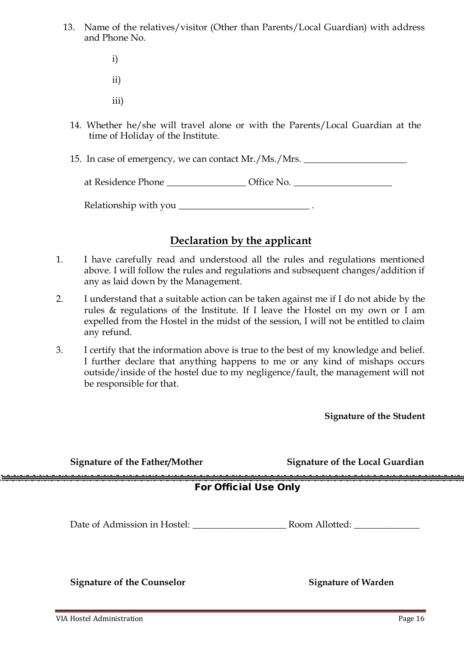- 13. Name of the relatives/visitor (Other than Parents/Local Guardian) with address and Phone No.
	- i)
	- ii)
	- iii)
	- 14. Whether he/she will travel alone or with the Parents/Local Guardian at the time of Holiday of the Institute.
	- 15. In case of emergency, we can contact Mr./Ms./Mrs.

Relationship with you \_\_\_\_\_\_\_\_\_\_\_\_\_\_\_\_\_\_\_\_\_\_\_\_\_\_\_\_ .

### **Declaration by the applicant**

- 1. I have carefully read and understood all the rules and regulations mentioned above. I will follow the rules and regulations and subsequent changes/addition if any as laid down by the Management.
- 2. I understand that a suitable action can be taken against me if I do not abide by the rules & regulations of the Institute. If I leave the Hostel on my own or I am expelled from the Hostel in the midst of the session, I will not be entitled to claim any refund.
- 3. I certify that the information above is true to the best of my knowledge and belief. I further declare that anything happens to me or any kind of mishaps occurs outside/inside of the hostel due to my negligence/fault, the management will not be responsible for that.

**Signature of the Student**

| <b>Signature of the Father/Mother</b> | <b>Signature of the Local Guardian</b> |  |  |
|---------------------------------------|----------------------------------------|--|--|
| <b>For Official Use Only</b>          |                                        |  |  |
| Date of Admission in Hostel:          | Room Allotted:                         |  |  |
| <b>Signature of the Counselor</b>     | <b>Signature of Warden</b>             |  |  |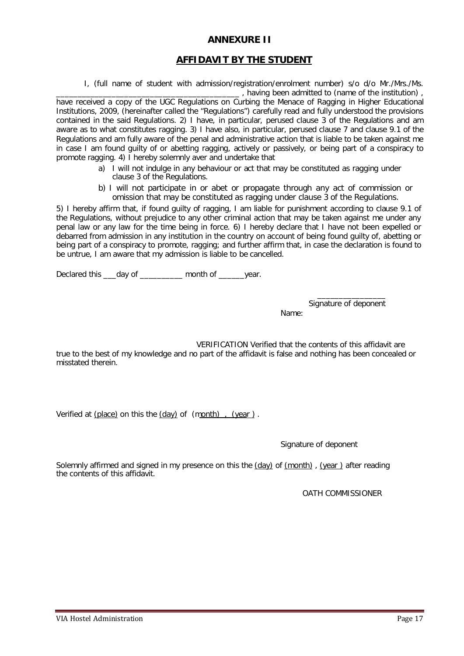#### **ANNEXURE II**

#### **AFFIDAVIT BY THE STUDENT**

I, (full name of student with admission/registration/enrolment number) s/o d/o Mr./Mrs./Ms.

\_\_\_\_\_\_\_\_\_\_\_\_\_\_\_\_\_\_\_\_\_\_\_\_\_\_\_\_\_\_\_\_\_\_\_\_\_\_\_\_\_\_\_ , having been admitted to (name of the institution) , have received a copy of the UGC Regulations on Curbing the Menace of Ragging in Higher Educational Institutions, 2009, (hereinafter called the "Regulations") carefully read and fully understood the provisions contained in the said Regulations. 2) I have, in particular, perused clause 3 of the Regulations and am aware as to what constitutes ragging. 3) I have also, in particular, perused clause 7 and clause 9.1 of the Regulations and am fully aware of the penal and administrative action that is liable to be taken against me in case I am found guilty of or abetting ragging, actively or passively, or being part of a conspiracy to promote ragging. 4) I hereby solemnly aver and undertake that

- a) I will not indulge in any behaviour or act that may be constituted as ragging under clause 3 of the Regulations.
- b) I will not participate in or abet or propagate through any act of commission or omission that may be constituted as ragging under clause 3 of the Regulations.

5) I hereby affirm that, if found guilty of ragging, I am liable for punishment according to clause 9.1 of the Regulations, without prejudice to any other criminal action that may be taken against me under any penal law or any law for the time being in force. 6) I hereby declare that I have not been expelled or debarred from admission in any institution in the country on account of being found guilty of, abetting or being part of a conspiracy to promote, ragging; and further affirm that, in case the declaration is found to be untrue, I am aware that my admission is liable to be cancelled.

Declared this \_\_\_day of \_\_\_\_\_\_\_\_\_ month of \_\_\_\_\_year.

Signature of deponent Name:

\_\_\_\_\_\_\_\_\_\_\_\_\_\_\_\_

VERIFICATION Verified that the contents of this affidavit are true to the best of my knowledge and no part of the affidavit is false and nothing has been concealed or misstated therein.

Verified at (place) on this the (day) of (month), (year).

Signature of deponent

Solemnly affirmed and signed in my presence on this the (day) of (month) , (year ) after reading the contents of this affidavit.

OATH COMMISSIONER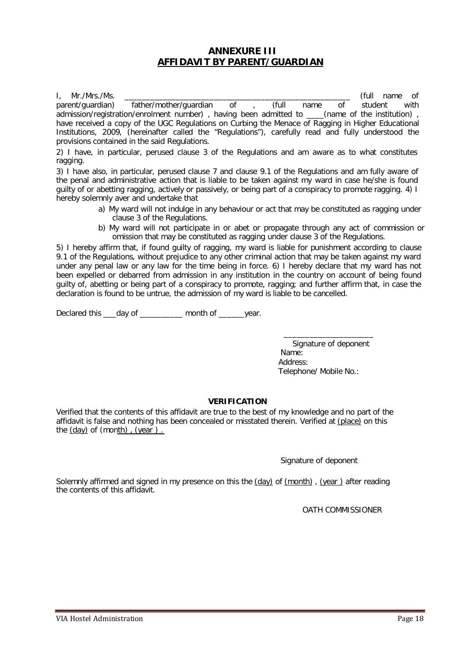#### **ANNEXURE III AFFIDAVIT BY PARENT/GUARDIAN**

I, Mr./Mrs./Ms. \_\_\_\_\_\_\_\_\_\_\_\_\_\_\_\_\_\_\_\_\_\_\_\_\_\_\_\_\_\_\_\_\_\_\_\_\_\_\_\_\_\_\_\_\_\_\_\_\_\_\_\_\_ (full name of parent/guardian) father/mother/guardian of , (full name of student with admission/registration/enrolment number), having been admitted to \_\_\_\_(name of the institution), have received a copy of the UGC Regulations on Curbing the Menace of Ragging in Higher Educational Institutions, 2009, (hereinafter called the "Regulations"), carefully read and fully understood the provisions contained in the said Regulations.

2) I have, in particular, perused clause 3 of the Regulations and am aware as to what constitutes ragging.

3) I have also, in particular, perused clause 7 and clause 9.1 of the Regulations and am fully aware of the penal and administrative action that is liable to be taken against my ward in case he/she is found guilty of or abetting ragging, actively or passively, or being part of a conspiracy to promote ragging. 4) I hereby solemnly aver and undertake that

- a) My ward will not indulge in any behaviour or act that may be constituted as ragging under clause 3 of the Regulations.
- b) My ward will not participate in or abet or propagate through any act of commission or omission that may be constituted as ragging under clause 3 of the Regulations.

5) I hereby affirm that, if found guilty of ragging, my ward is liable for punishment according to clause 9.1 of the Regulations, without prejudice to any other criminal action that may be taken against my ward under any penal law or any law for the time being in force. 6) I hereby declare that my ward has not been expelled or debarred from admission in any institution in the country on account of being found guilty of, abetting or being part of a conspiracy to promote, ragging; and further affirm that, in case the declaration is found to be untrue, the admission of my ward is liable to be cancelled.

Declared this \_\_\_day of \_\_\_\_\_\_\_\_ month of \_\_\_\_\_year.

Signature of deponent Name: Address: Telephone/ Mobile No.:

\_\_\_\_\_\_\_\_\_\_\_\_\_\_\_\_\_\_\_\_\_

#### **VERIFICATION**

Verified that the contents of this affidavit are true to the best of my knowledge and no part of the affidavit is false and nothing has been concealed or misstated therein. Verified at (place) on this the  $(day)$  of  $(month)$ ,  $(year)$ .

Signature of deponent

Solemnly affirmed and signed in my presence on this the (day) of (month), (year) after reading the contents of this affidavit.

OATH COMMISSIONER